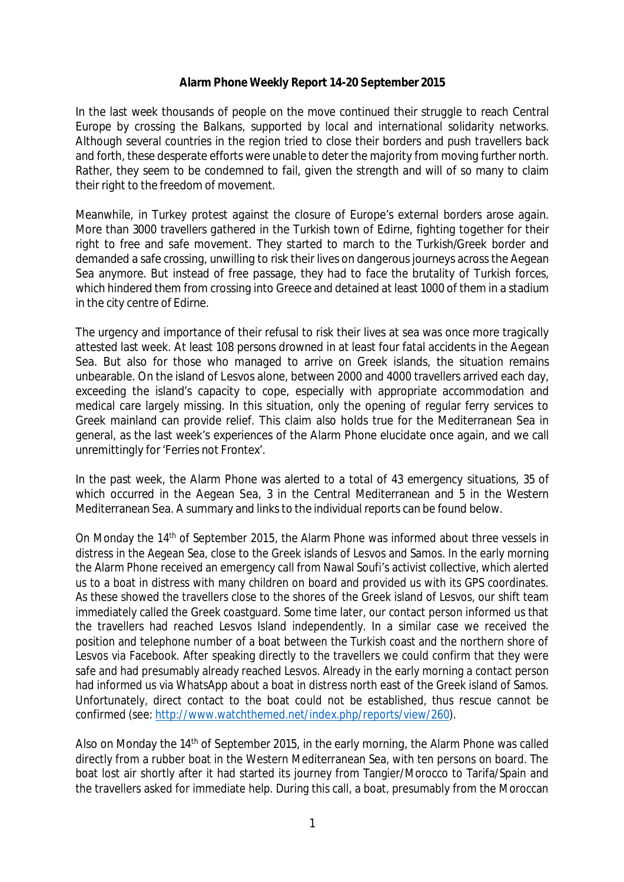## **Alarm Phone Weekly Report 14-20 September 2015**

In the last week thousands of people on the move continued their struggle to reach Central Europe by crossing the Balkans, supported by local and international solidarity networks. Although several countries in the region tried to close their borders and push travellers back and forth, these desperate efforts were unable to deter the majority from moving further north. Rather, they seem to be condemned to fail, given the strength and will of so many to claim their right to the freedom of movement.

Meanwhile, in Turkey protest against the closure of Europe's external borders arose again. More than 3000 travellers gathered in the Turkish town of Edirne, fighting together for their right to free and safe movement. They started to march to the Turkish/Greek border and demanded a safe crossing, unwilling to risk their lives on dangerous journeys across the Aegean Sea anymore. But instead of free passage, they had to face the brutality of Turkish forces, which hindered them from crossing into Greece and detained at least 1000 of them in a stadium in the city centre of Edirne.

The urgency and importance of their refusal to risk their lives at sea was once more tragically attested last week. At least 108 persons drowned in at least four fatal accidents in the Aegean Sea. But also for those who managed to arrive on Greek islands, the situation remains unbearable. On the island of Lesvos alone, between 2000 and 4000 travellers arrived each day, exceeding the island's capacity to cope, especially with appropriate accommodation and medical care largely missing. In this situation, only the opening of regular ferry services to Greek mainland can provide relief. This claim also holds true for the Mediterranean Sea in general, as the last week's experiences of the Alarm Phone elucidate once again, and we call unremittingly for 'Ferries not Frontex'.

In the past week, the Alarm Phone was alerted to a total of 43 emergency situations, 35 of which occurred in the Aegean Sea, 3 in the Central Mediterranean and 5 in the Western Mediterranean Sea. A summary and links to the individual reports can be found below.

On Monday the 14<sup>th</sup> of September 2015, the Alarm Phone was informed about three vessels in distress in the Aegean Sea, close to the Greek islands of Lesvos and Samos. In the early morning the Alarm Phone received an emergency call from Nawal Soufi's activist collective, which alerted us to a boat in distress with many children on board and provided us with its GPS coordinates. As these showed the travellers close to the shores of the Greek island of Lesvos, our shift team immediately called the Greek coastguard. Some time later, our contact person informed us that the travellers had reached Lesvos Island independently. In a similar case we received the position and telephone number of a boat between the Turkish coast and the northern shore of Lesvos via Facebook. After speaking directly to the travellers we could confirm that they were safe and had presumably already reached Lesvos. Already in the early morning a contact person had informed us via WhatsApp about a boat in distress north east of the Greek island of Samos. Unfortunately, direct contact to the boat could not be established, thus rescue cannot be confirmed (see: [http://www.watchthemed.net/index.php/reports/view/260\).](http://www.watchthemed.net/index.php/reports/view/260).)

Also on Monday the 14<sup>th</sup> of September 2015, in the early morning, the Alarm Phone was called directly from a rubber boat in the Western Mediterranean Sea, with ten persons on board. The boat lost air shortly after it had started its journey from Tangier/Morocco to Tarifa/Spain and the travellers asked for immediate help. During this call, a boat, presumably from the Moroccan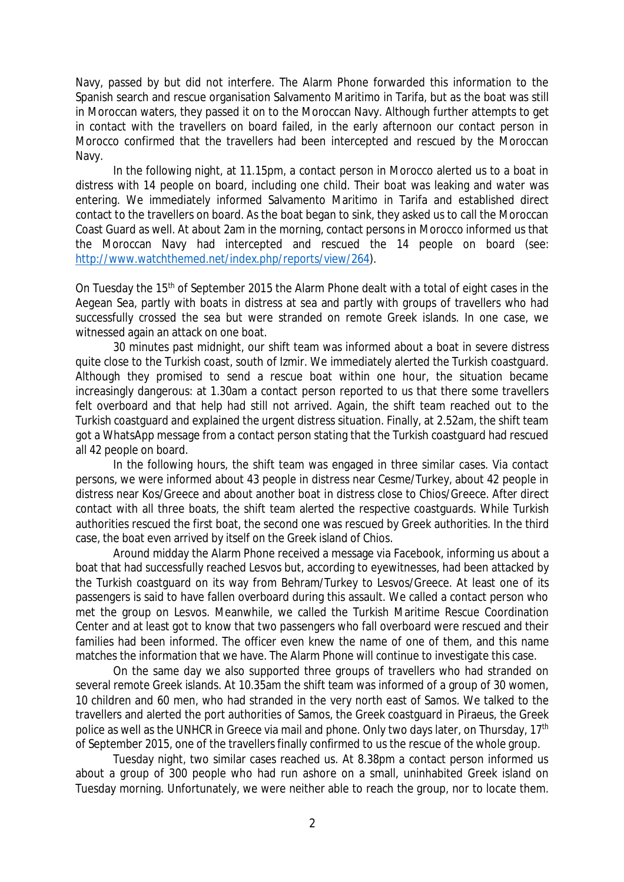Navy, passed by but did not interfere. The Alarm Phone forwarded this information to the Spanish search and rescue organisation Salvamento Maritimo in Tarifa, but as the boat was still in Moroccan waters, they passed it on to the Moroccan Navy. Although further attempts to get in contact with the travellers on board failed, in the early afternoon our contact person in Morocco confirmed that the travellers had been intercepted and rescued by the Moroccan Navy.

In the following night, at 11.15pm, a contact person in Morocco alerted us to a boat in distress with 14 people on board, including one child. Their boat was leaking and water was entering. We immediately informed Salvamento Maritimo in Tarifa and established direct contact to the travellers on board. As the boat began to sink, they asked us to call the Moroccan Coast Guard as well. At about 2am in the morning, contact persons in Morocco informed us that the Moroccan Navy had intercepted and rescued the 14 people on board (see: [http://www.watchthemed.net/index.php/reports/view/264\).](http://www.watchthemed.net/index.php/reports/view/264).)

On Tuesday the 15<sup>th</sup> of September 2015 the Alarm Phone dealt with a total of eight cases in the Aegean Sea, partly with boats in distress at sea and partly with groups of travellers who had successfully crossed the sea but were stranded on remote Greek islands. In one case, we witnessed again an attack on one boat.

30 minutes past midnight, our shift team was informed about a boat in severe distress quite close to the Turkish coast, south of Izmir. We immediately alerted the Turkish coastguard. Although they promised to send a rescue boat within one hour, the situation became increasingly dangerous: at 1.30am a contact person reported to us that there some travellers felt overboard and that help had still not arrived. Again, the shift team reached out to the Turkish coastguard and explained the urgent distress situation. Finally, at 2.52am, the shift team got a WhatsApp message from a contact person stating that the Turkish coastguard had rescued all 42 people on board.

In the following hours, the shift team was engaged in three similar cases. Via contact persons, we were informed about 43 people in distress near Cesme/Turkey, about 42 people in distress near Kos/Greece and about another boat in distress close to Chios/Greece. After direct contact with all three boats, the shift team alerted the respective coastguards. While Turkish authorities rescued the first boat, the second one was rescued by Greek authorities. In the third case, the boat even arrived by itself on the Greek island of Chios.

Around midday the Alarm Phone received a message via Facebook, informing us about a boat that had successfully reached Lesvos but, according to eyewitnesses, had been attacked by the Turkish coastguard on its way from Behram/Turkey to Lesvos/Greece. At least one of its passengers is said to have fallen overboard during this assault. We called a contact person who met the group on Lesvos. Meanwhile, we called the Turkish Maritime Rescue Coordination Center and at least got to know that two passengers who fall overboard were rescued and their families had been informed. The officer even knew the name of one of them, and this name matches the information that we have. The Alarm Phone will continue to investigate this case.

On the same day we also supported three groups of travellers who had stranded on several remote Greek islands. At 10.35am the shift team was informed of a group of 30 women, 10 children and 60 men, who had stranded in the very north east of Samos. We talked to the travellers and alerted the port authorities of Samos, the Greek coastguard in Piraeus, the Greek police as well as the UNHCR in Greece via mail and phone. Only two days later, on Thursday, 17<sup>th</sup> of September 2015, one of the travellers finally confirmed to us the rescue of the whole group.

Tuesday night, two similar cases reached us. At 8.38pm a contact person informed us about a group of 300 people who had run ashore on a small, uninhabited Greek island on Tuesday morning. Unfortunately, we were neither able to reach the group, nor to locate them.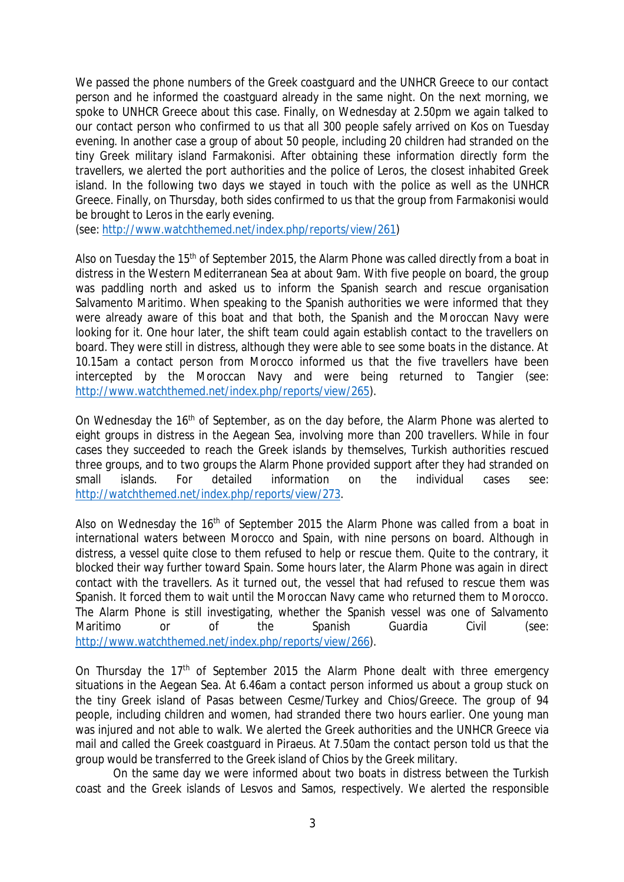We passed the phone numbers of the Greek coastguard and the UNHCR Greece to our contact person and he informed the coastguard already in the same night. On the next morning, we spoke to UNHCR Greece about this case. Finally, on Wednesday at 2.50pm we again talked to our contact person who confirmed to us that all 300 people safely arrived on Kos on Tuesday evening. In another case a group of about 50 people, including 20 children had stranded on the tiny Greek military island Farmakonisi. After obtaining these information directly form the travellers, we alerted the port authorities and the police of Leros, the closest inhabited Greek island. In the following two days we stayed in touch with the police as well as the UNHCR Greece. Finally, on Thursday, both sides confirmed to us that the group from Farmakonisi would be brought to Leros in the early evening.

(see: [http://www.watchthemed.net/index.php/reports/view/261\)](http://www.watchthemed.net/index.php/reports/view/261))

Also on Tuesday the 15<sup>th</sup> of September 2015, the Alarm Phone was called directly from a boat in distress in the Western Mediterranean Sea at about 9am. With five people on board, the group was paddling north and asked us to inform the Spanish search and rescue organisation Salvamento Maritimo. When speaking to the Spanish authorities we were informed that they were already aware of this boat and that both, the Spanish and the Moroccan Navy were looking for it. One hour later, the shift team could again establish contact to the travellers on board. They were still in distress, although they were able to see some boats in the distance. At 10.15am a contact person from Morocco informed us that the five travellers have been intercepted by the Moroccan Navy and were being returned to Tangier (see: [http://www.watchthemed.net/index.php/reports/view/265\).](http://www.watchthemed.net/index.php/reports/view/265).)

On Wednesday the 16<sup>th</sup> of September, as on the day before, the Alarm Phone was alerted to eight groups in distress in the Aegean Sea, involving more than 200 travellers. While in four cases they succeeded to reach the Greek islands by themselves, Turkish authorities rescued three groups, and to two groups the Alarm Phone provided support after they had stranded on small islands. For detailed information on the individual cases see: <http://watchthemed.net/index.php/reports/view/273.>

Also on Wednesday the 16<sup>th</sup> of September 2015 the Alarm Phone was called from a boat in international waters between Morocco and Spain, with nine persons on board. Although in distress, a vessel quite close to them refused to help or rescue them. Quite to the contrary, it blocked their way further toward Spain. Some hours later, the Alarm Phone was again in direct contact with the travellers. As it turned out, the vessel that had refused to rescue them was Spanish. It forced them to wait until the Moroccan Navy came who returned them to Morocco. The Alarm Phone is still investigating, whether the Spanish vessel was one of Salvamento Maritimo or of the Spanish Guardia Civil (see: [http://www.watchthemed.net/index.php/reports/view/266\).](http://www.watchthemed.net/index.php/reports/view/266).)

On Thursday the 17<sup>th</sup> of September 2015 the Alarm Phone dealt with three emergency situations in the Aegean Sea. At 6.46am a contact person informed us about a group stuck on the tiny Greek island of Pasas between Cesme/Turkey and Chios/Greece. The group of 94 people, including children and women, had stranded there two hours earlier. One young man was injured and not able to walk. We alerted the Greek authorities and the UNHCR Greece via mail and called the Greek coastguard in Piraeus. At 7.50am the contact person told us that the group would be transferred to the Greek island of Chios by the Greek military.

On the same day we were informed about two boats in distress between the Turkish coast and the Greek islands of Lesvos and Samos, respectively. We alerted the responsible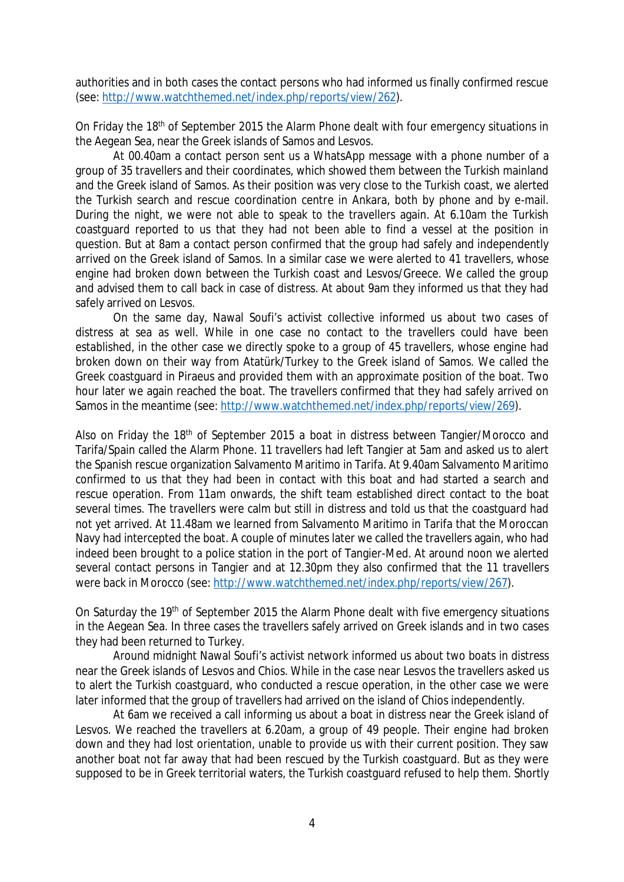authorities and in both cases the contact persons who had informed us finally confirmed rescue (see: [http://www.watchthemed.net/index.php/reports/view/262\).](http://www.watchthemed.net/index.php/reports/view/262).)

On Friday the 18<sup>th</sup> of September 2015 the Alarm Phone dealt with four emergency situations in the Aegean Sea, near the Greek islands of Samos and Lesvos.

At 00.40am a contact person sent us a WhatsApp message with a phone number of a group of 35 travellers and their coordinates, which showed them between the Turkish mainland and the Greek island of Samos. As their position was very close to the Turkish coast, we alerted the Turkish search and rescue coordination centre in Ankara, both by phone and by e-mail. During the night, we were not able to speak to the travellers again. At 6.10am the Turkish coastguard reported to us that they had not been able to find a vessel at the position in question. But at 8am a contact person confirmed that the group had safely and independently arrived on the Greek island of Samos. In a similar case we were alerted to 41 travellers, whose engine had broken down between the Turkish coast and Lesvos/Greece. We called the group and advised them to call back in case of distress. At about 9am they informed us that they had safely arrived on Lesvos.

On the same day, Nawal Soufi's activist collective informed us about two cases of distress at sea as well. While in one case no contact to the travellers could have been established, in the other case we directly spoke to a group of 45 travellers, whose engine had broken down on their way from Atatürk/Turkey to the Greek island of Samos. We called the Greek coastguard in Piraeus and provided them with an approximate position of the boat. Two hour later we again reached the boat. The travellers confirmed that they had safely arrived on Samos in the meantime (see: [http://www.watchthemed.net/index.php/reports/view/269\).](http://www.watchthemed.net/index.php/reports/view/269).)

Also on Friday the 18<sup>th</sup> of September 2015 a boat in distress between Tangier/Morocco and Tarifa/Spain called the Alarm Phone. 11 travellers had left Tangier at 5am and asked us to alert the Spanish rescue organization Salvamento Maritimo in Tarifa. At 9.40am Salvamento Maritimo confirmed to us that they had been in contact with this boat and had started a search and rescue operation. From 11am onwards, the shift team established direct contact to the boat several times. The travellers were calm but still in distress and told us that the coastguard had not yet arrived. At 11.48am we learned from Salvamento Maritimo in Tarifa that the Moroccan Navy had intercepted the boat. A couple of minutes later we called the travellers again, who had indeed been brought to a police station in the port of Tangier-Med. At around noon we alerted several contact persons in Tangier and at 12.30pm they also confirmed that the 11 travellers were back in Morocco (see: [http://www.watchthemed.net/index.php/reports/view/267\).](http://www.watchthemed.net/index.php/reports/view/267).)

On Saturday the 19th of September 2015 the Alarm Phone dealt with five emergency situations in the Aegean Sea. In three cases the travellers safely arrived on Greek islands and in two cases they had been returned to Turkey.

Around midnight Nawal Soufi's activist network informed us about two boats in distress near the Greek islands of Lesvos and Chios. While in the case near Lesvos the travellers asked us to alert the Turkish coastguard, who conducted a rescue operation, in the other case we were later informed that the group of travellers had arrived on the island of Chios independently.

At 6am we received a call informing us about a boat in distress near the Greek island of Lesvos. We reached the travellers at 6.20am, a group of 49 people. Their engine had broken down and they had lost orientation, unable to provide us with their current position. They saw another boat not far away that had been rescued by the Turkish coastguard. But as they were supposed to be in Greek territorial waters, the Turkish coastguard refused to help them. Shortly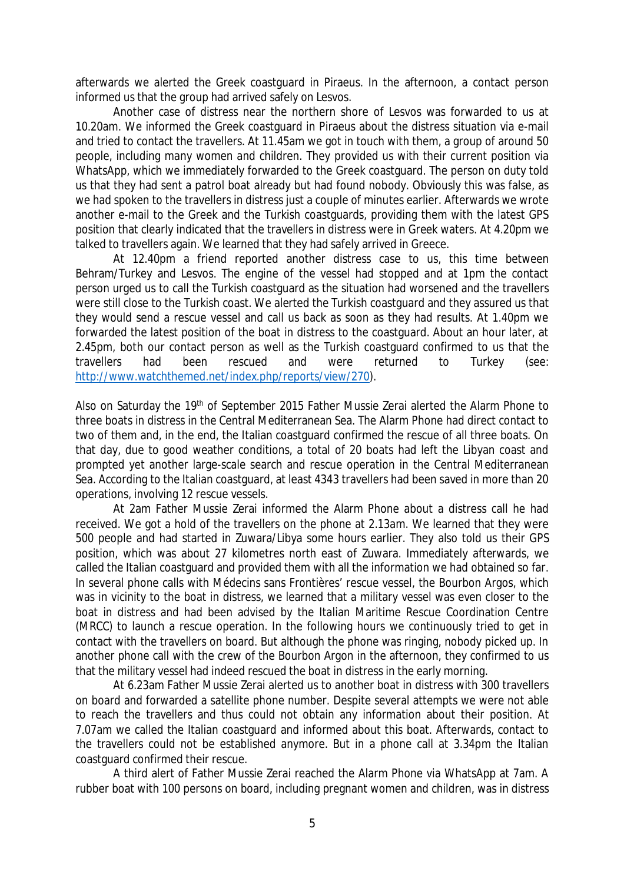afterwards we alerted the Greek coastguard in Piraeus. In the afternoon, a contact person informed us that the group had arrived safely on Lesvos.

Another case of distress near the northern shore of Lesvos was forwarded to us at 10.20am. We informed the Greek coastguard in Piraeus about the distress situation via e-mail and tried to contact the travellers. At 11.45am we got in touch with them, a group of around 50 people, including many women and children. They provided us with their current position via WhatsApp, which we immediately forwarded to the Greek coastguard. The person on duty told us that they had sent a patrol boat already but had found nobody. Obviously this was false, as we had spoken to the travellers in distress just a couple of minutes earlier. Afterwards we wrote another e-mail to the Greek and the Turkish coastguards, providing them with the latest GPS position that clearly indicated that the travellers in distress were in Greek waters. At 4.20pm we talked to travellers again. We learned that they had safely arrived in Greece.

At 12.40pm a friend reported another distress case to us, this time between Behram/Turkey and Lesvos. The engine of the vessel had stopped and at 1pm the contact person urged us to call the Turkish coastguard as the situation had worsened and the travellers were still close to the Turkish coast. We alerted the Turkish coastguard and they assured us that they would send a rescue vessel and call us back as soon as they had results. At 1.40pm we forwarded the latest position of the boat in distress to the coastguard. About an hour later, at 2.45pm, both our contact person as well as the Turkish coastguard confirmed to us that the travellers had been rescued and were returned to Turkey (see: [http://www.watchthemed.net/index.php/reports/view/270\).](http://www.watchthemed.net/index.php/reports/view/270).)

Also on Saturday the 19<sup>th</sup> of September 2015 Father Mussie Zerai alerted the Alarm Phone to three boats in distress in the Central Mediterranean Sea. The Alarm Phone had direct contact to two of them and, in the end, the Italian coastguard confirmed the rescue of all three boats. On that day, due to good weather conditions, a total of 20 boats had left the Libyan coast and prompted yet another large-scale search and rescue operation in the Central Mediterranean Sea. According to the Italian coastguard, at least 4343 travellers had been saved in more than 20 operations, involving 12 rescue vessels.

At 2am Father Mussie Zerai informed the Alarm Phone about a distress call he had received. We got a hold of the travellers on the phone at 2.13am. We learned that they were 500 people and had started in Zuwara/Libya some hours earlier. They also told us their GPS position, which was about 27 kilometres north east of Zuwara. Immediately afterwards, we called the Italian coastguard and provided them with all the information we had obtained so far. In several phone calls with Médecins sans Frontières' rescue vessel, the Bourbon Argos, which was in vicinity to the boat in distress, we learned that a military vessel was even closer to the boat in distress and had been advised by the Italian Maritime Rescue Coordination Centre (MRCC) to launch a rescue operation. In the following hours we continuously tried to get in contact with the travellers on board. But although the phone was ringing, nobody picked up. In another phone call with the crew of the Bourbon Argon in the afternoon, they confirmed to us that the military vessel had indeed rescued the boat in distress in the early morning.

At 6.23am Father Mussie Zerai alerted us to another boat in distress with 300 travellers on board and forwarded a satellite phone number. Despite several attempts we were not able to reach the travellers and thus could not obtain any information about their position. At 7.07am we called the Italian coastguard and informed about this boat. Afterwards, contact to the travellers could not be established anymore. But in a phone call at 3.34pm the Italian coastguard confirmed their rescue.

A third alert of Father Mussie Zerai reached the Alarm Phone via WhatsApp at 7am. A rubber boat with 100 persons on board, including pregnant women and children, was in distress